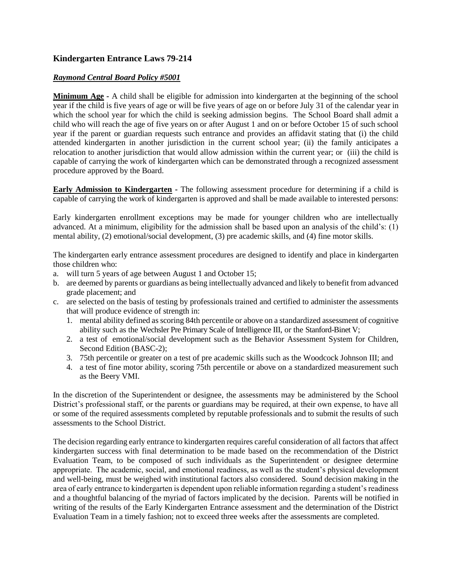## **Kindergarten Entrance Laws 79-214**

## *Raymond Central Board Policy #5001*

**Minimum Age -** A child shall be eligible for admission into kindergarten at the beginning of the school year if the child is five years of age or will be five years of age on or before July 31 of the calendar year in which the school year for which the child is seeking admission begins. The School Board shall admit a child who will reach the age of five years on or after August 1 and on or before October 15 of such school year if the parent or guardian requests such entrance and provides an affidavit stating that (i) the child attended kindergarten in another jurisdiction in the current school year; (ii) the family anticipates a relocation to another jurisdiction that would allow admission within the current year; or (iii) the child is capable of carrying the work of kindergarten which can be demonstrated through a recognized assessment procedure approved by the Board.

**Early Admission to Kindergarten -** The following assessment procedure for determining if a child is capable of carrying the work of kindergarten is approved and shall be made available to interested persons:

Early kindergarten enrollment exceptions may be made for younger children who are intellectually advanced. At a minimum, eligibility for the admission shall be based upon an analysis of the child's: (1) mental ability, (2) emotional/social development, (3) pre academic skills, and (4) fine motor skills.

The kindergarten early entrance assessment procedures are designed to identify and place in kindergarten those children who:

- a. will turn 5 years of age between August 1 and October 15;
- b. are deemed by parents or guardians as being intellectually advanced and likely to benefit from advanced grade placement; and
- c. are selected on the basis of testing by professionals trained and certified to administer the assessments that will produce evidence of strength in:
	- 1. mental ability defined as scoring 84th percentile or above on a standardized assessment of cognitive ability such as the Wechsler Pre Primary Scale of Intelligence III, or the Stanford-Binet V;
	- 2. a test of emotional/social development such as the Behavior Assessment System for Children, Second Edition (BASC-2);
	- 3. 75th percentile or greater on a test of pre academic skills such as the Woodcock Johnson III; and
	- 4. a test of fine motor ability, scoring 75th percentile or above on a standardized measurement such as the Beery VMI.

In the discretion of the Superintendent or designee, the assessments may be administered by the School District's professional staff, or the parents or guardians may be required, at their own expense, to have all or some of the required assessments completed by reputable professionals and to submit the results of such assessments to the School District.

The decision regarding early entrance to kindergarten requires careful consideration of all factors that affect kindergarten success with final determination to be made based on the recommendation of the District Evaluation Team, to be composed of such individuals as the Superintendent or designee determine appropriate. The academic, social, and emotional readiness, as well as the student's physical development and well-being, must be weighed with institutional factors also considered. Sound decision making in the area of early entrance to kindergarten is dependent upon reliable information regarding a student's readiness and a thoughtful balancing of the myriad of factors implicated by the decision. Parents will be notified in writing of the results of the Early Kindergarten Entrance assessment and the determination of the District Evaluation Team in a timely fashion; not to exceed three weeks after the assessments are completed.